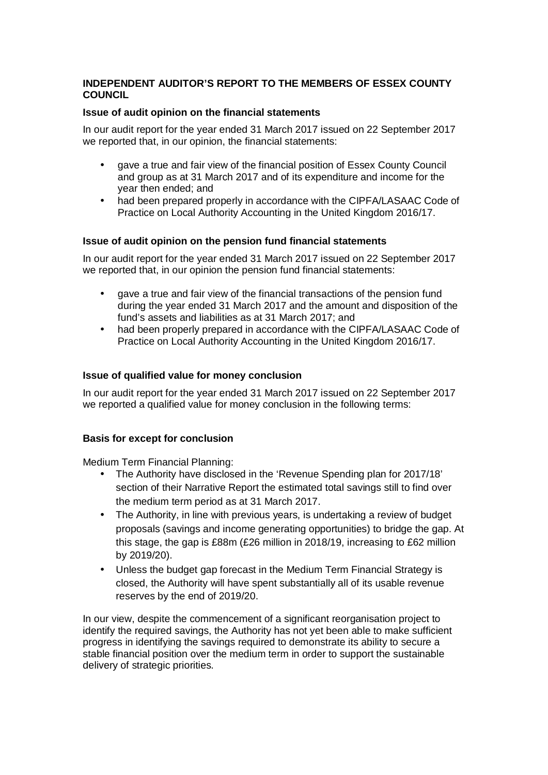# **INDEPENDENT AUDITOR'S REPORT TO THE MEMBERS OF ESSEX COUNTY COUNCIL**

# **Issue of audit opinion on the financial statements**

In our audit report for the year ended 31 March 2017 issued on 22 September 2017 we reported that, in our opinion, the financial statements:

- gave a true and fair view of the financial position of Essex County Council and group as at 31 March 2017 and of its expenditure and income for the year then ended; and
- had been prepared properly in accordance with the CIPFA/LASAAC Code of Practice on Local Authority Accounting in the United Kingdom 2016/17.

## **Issue of audit opinion on the pension fund financial statements**

In our audit report for the year ended 31 March 2017 issued on 22 September 2017 we reported that, in our opinion the pension fund financial statements:

- gave a true and fair view of the financial transactions of the pension fund during the year ended 31 March 2017 and the amount and disposition of the fund's assets and liabilities as at 31 March 2017; and
- had been properly prepared in accordance with the CIPFA/LASAAC Code of Practice on Local Authority Accounting in the United Kingdom 2016/17.

## **Issue of qualified value for money conclusion**

In our audit report for the year ended 31 March 2017 issued on 22 September 2017 we reported a qualified value for money conclusion in the following terms:

#### **Basis for except for conclusion**

Medium Term Financial Planning:

- The Authority have disclosed in the 'Revenue Spending plan for 2017/18' section of their Narrative Report the estimated total savings still to find over the medium term period as at 31 March 2017.
- The Authority, in line with previous years, is undertaking a review of budget proposals (savings and income generating opportunities) to bridge the gap. At this stage, the gap is £88m (£26 million in 2018/19, increasing to £62 million by 2019/20).
- Unless the budget gap forecast in the Medium Term Financial Strategy is closed, the Authority will have spent substantially all of its usable revenue reserves by the end of 2019/20.

In our view, despite the commencement of a significant reorganisation project to identify the required savings, the Authority has not yet been able to make sufficient progress in identifying the savings required to demonstrate its ability to secure a stable financial position over the medium term in order to support the sustainable delivery of strategic priorities.